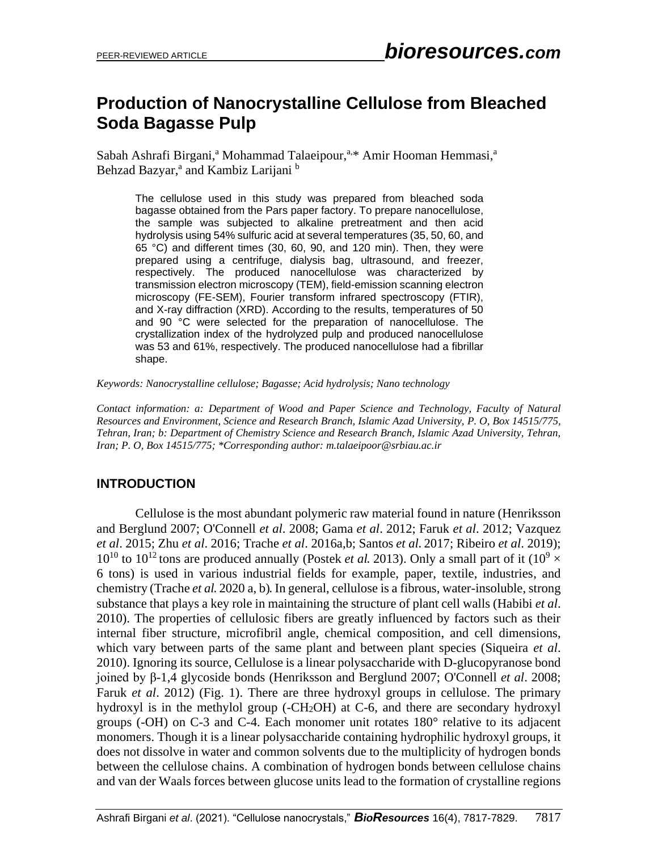# **Production of Nanocrystalline Cellulose from Bleached Soda Bagasse Pulp**

Sabah Ashrafi Birgani,<sup>a</sup> Mohammad Talaeipour,<sup>a,\*</sup> Amir Hooman Hemmasi,<sup>a</sup> Behzad Bazyar,<sup>a</sup> and Kambiz Larijani <sup>b</sup>

The cellulose used in this study was prepared from bleached soda bagasse obtained from the Pars paper factory. To prepare nanocellulose, the sample was subjected to alkaline pretreatment and then acid hydrolysis using 54% sulfuric acid at several temperatures (35, 50, 60, and 65 °C) and different times (30, 60, 90, and 120 min). Then, they were prepared using a centrifuge, dialysis bag, ultrasound, and freezer, respectively. The produced nanocellulose was characterized by transmission electron microscopy (TEM), field-emission scanning electron microscopy (FE-SEM), Fourier transform infrared spectroscopy (FTIR), and X-ray diffraction (XRD). According to the results, temperatures of 50 and 90 °C were selected for the preparation of nanocellulose. The crystallization index of the hydrolyzed pulp and produced nanocellulose was 53 and 61%, respectively. The produced nanocellulose had a fibrillar shape.

*Keywords: Nanocrystalline cellulose; Bagasse; Acid hydrolysis; Nano technology*

*Contact information: a: Department of Wood and Paper Science and Technology, Faculty of Natural Resources and Environment, Science and Research Branch, Islamic Azad University, P. O, Box 14515/775, Tehran, Iran; b: Department of Chemistry Science and Research Branch, Islamic Azad University, Tehran, Iran; P. O, Box 14515/775; \*Corresponding author: m.talaeipoor@srbiau.ac.ir*

## **INTRODUCTION**

Cellulose is the most abundant polymeric raw material found in nature (Henriksson and Berglund 2007; O'Connell *et al*. 2008; Gama *et al*. 2012; Faruk *et al*. 2012; Vazquez *et al*. 2015; Zhu *et al*. 2016; Trache *et al*. 2016a,b; Santos *et al*. 2017; Ribeiro *et al*. 2019);  $10^{10}$  to  $10^{12}$  tons are produced annually (Postek *et al.* 2013). Only a small part of it ( $10^9 \times$ 6 tons) is used in various industrial fields for example, paper, textile, industries, and chemistry (Trache *et al*. 2020 a, b). In general, cellulose is a fibrous, water-insoluble, strong substance that plays a key role in maintaining the structure of plant cell walls (Habibi *et al*. 2010). The properties of cellulosic fibers are greatly influenced by factors such as their internal fiber structure, microfibril angle, chemical composition, and cell dimensions, which vary between parts of the same plant and between plant species (Siqueira *et al*. 2010). Ignoring its source, Cellulose is a linear polysaccharide with D-glucopyranose bond joined by β-1,4 glycoside bonds (Henriksson and Berglund 2007; O'Connell *et al*. 2008; Faruk *et al*. 2012) (Fig. 1). There are three hydroxyl groups in cellulose. The primary hydroxyl is in the methylol group (-CH2OH) at C-6, and there are secondary hydroxyl groups (-OH) on C-3 and C-4. Each monomer unit rotates 180° relative to its adjacent monomers. Though it is a linear polysaccharide containing hydrophilic hydroxyl groups, it does not dissolve in water and common solvents due to the multiplicity of hydrogen bonds between the cellulose chains. A combination of hydrogen bonds between cellulose chains and van der Waals forces between glucose units lead to the formation of crystalline regions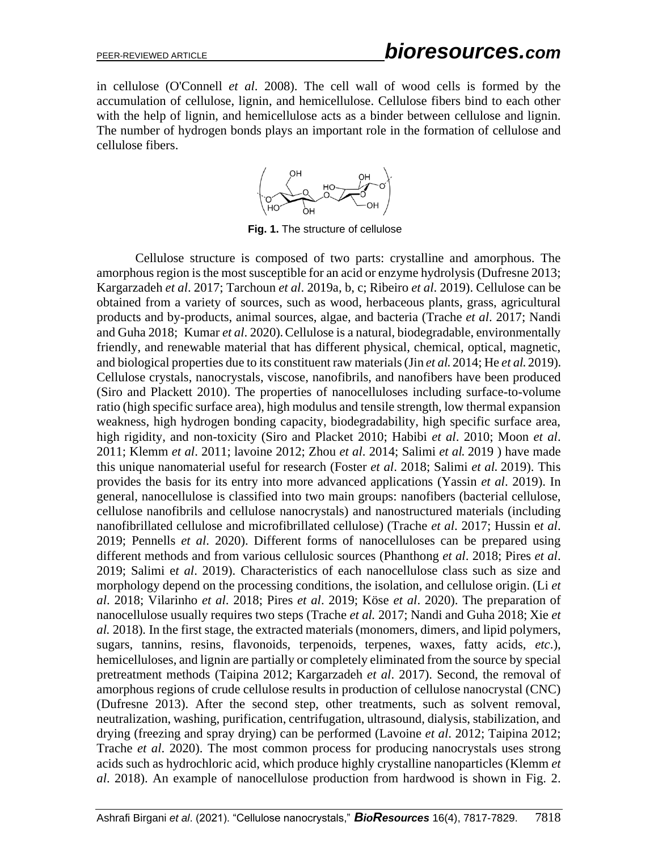in cellulose (O'Connell *et al*. 2008). The cell wall of wood cells is formed by the accumulation of cellulose, lignin, and hemicellulose. Cellulose fibers bind to each other with the help of lignin, and hemicellulose acts as a binder between cellulose and lignin. The number of hydrogen bonds plays an important role in the formation of cellulose and cellulose fibers.



**Fig. 1.** The structure of cellulose

Cellulose structure is composed of two parts: crystalline and amorphous. The amorphous region is the most susceptible for an acid or enzyme hydrolysis (Dufresne 2013; Kargarzadeh *et al*. 2017; Tarchoun *et al*. 2019a, b, c; Ribeiro *et al*. 2019). Cellulose can be obtained from a variety of sources, such as wood, herbaceous plants, grass, agricultural products and by-products, animal sources, algae, and bacteria (Trache *et al*. 2017; Nandi and Guha 2018; Kumar *et al*. 2020). Cellulose is a natural, biodegradable, environmentally friendly, and renewable material that has different physical, chemical, optical, magnetic, and biological properties due to its constituent raw materials (Jin *et al*. 2014; He *et al*. 2019). Cellulose crystals, nanocrystals, viscose, nanofibrils, and nanofibers have been produced (Siro and Plackett 2010). The properties of nanocelluloses including surface-to-volume ratio (high specific surface area), high modulus and tensile strength, low thermal expansion weakness, high hydrogen bonding capacity, biodegradability, high specific surface area, high rigidity, and non-toxicity (Siro and Placket 2010; Habibi *et al*. 2010; Moon *et al*. 2011; Klemm *et al*. 2011; lavoine 2012; Zhou *et al*. 2014; Salimi *et al*. 2019 ) have made this unique nanomaterial useful for research (Foster *et al*. 2018; Salimi *et al*. 2019). This provides the basis for its entry into more advanced applications (Yassin *et al*. 2019). In general, nanocellulose is classified into two main groups: nanofibers (bacterial cellulose, cellulose nanofibrils and cellulose nanocrystals) and nanostructured materials (including nanofibrillated cellulose and microfibrillated cellulose) (Trache *et al*. 2017; Hussin e*t al*. 2019; Pennells *et al*. 2020). Different forms of nanocelluloses can be prepared using different methods and from various cellulosic sources (Phanthong *et al*. 2018; Pires *et al*. 2019; Salimi e*t al*. 2019). Characteristics of each nanocellulose class such as size and morphology depend on the processing conditions, the isolation, and cellulose origin. (Li *et al*. 2018; Vilarinho *et al*. 2018; Pires *et al*. 2019; Köse *et al*. 2020). The preparation of nanocellulose usually requires two steps (Trache *et al.* 2017; Nandi and Guha 2018; Xie *et al.* 2018)*.* In the first stage, the extracted materials (monomers, dimers, and lipid polymers, sugars, tannins, resins, flavonoids, terpenoids, terpenes, waxes, fatty acids, *etc*.), hemicelluloses, and lignin are partially or completely eliminated from the source by special pretreatment methods (Taipina 2012; Kargarzadeh *et al*. 2017). Second, the removal of amorphous regions of crude cellulose results in production of cellulose nanocrystal (CNC) (Dufresne 2013). After the second step, other treatments, such as solvent removal, neutralization, washing, purification, centrifugation, ultrasound, dialysis, stabilization, and drying (freezing and spray drying) can be performed (Lavoine *et al*. 2012; Taipina 2012; Trache *et al*. 2020). The most common process for producing nanocrystals uses strong acids such as hydrochloric acid, which produce highly crystalline nanoparticles (Klemm *et al*. 2018). An example of nanocellulose production from hardwood is shown in Fig. 2.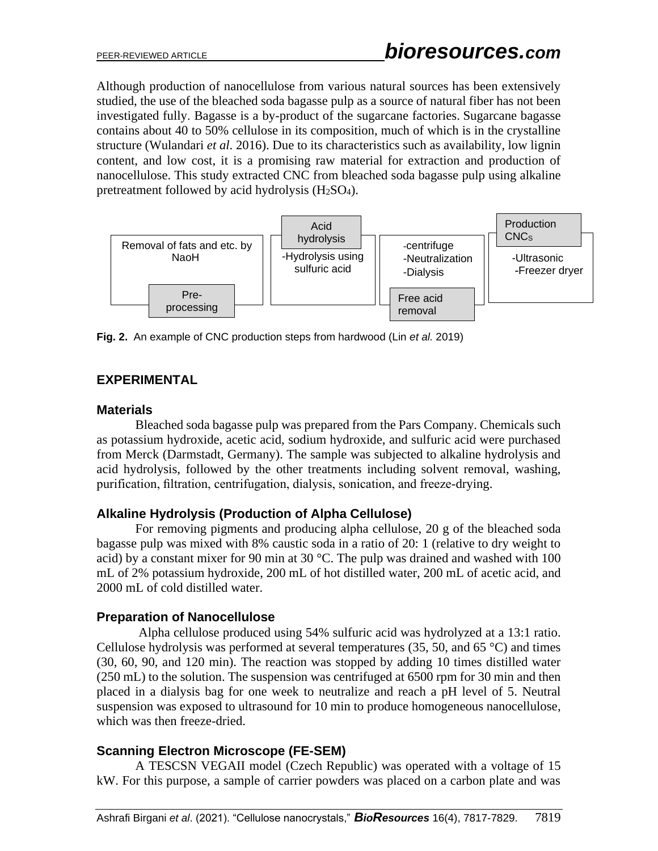Although production of nanocellulose from various natural sources has been extensively studied, the use of the bleached soda bagasse pulp as a source of natural fiber has not been investigated fully. Bagasse is a by-product of the sugarcane factories. Sugarcane bagasse contains about 40 to 50% cellulose in its composition, much of which is in the crystalline structure (Wulandari *et al*. 2016). Due to its characteristics such as availability, low lignin content, and low cost, it is a promising raw material for extraction and production of nanocellulose. This study extracted CNC from bleached soda bagasse pulp using alkaline pretreatment followed by acid hydrolysis (H2SO4).



**Fig. 2.** An example of CNC production steps from hardwood (Lin *et al.* 2019)

## **EXPERIMENTAL**

#### **Materials**

Bleached soda bagasse pulp was prepared from the Pars Company. Chemicals such as potassium hydroxide, acetic acid, sodium hydroxide, and sulfuric acid were purchased from Merck (Darmstadt, Germany). The sample was subjected to alkaline hydrolysis and acid hydrolysis, followed by the other treatments including solvent removal, washing, purification, filtration, centrifugation, dialysis, sonication, and freeze-drying.

#### **Alkaline Hydrolysis (Production of Alpha Cellulose)**

For removing pigments and producing alpha cellulose, 20 g of the bleached soda bagasse pulp was mixed with 8% caustic soda in a ratio of 20: 1 (relative to dry weight to acid) by a constant mixer for 90 min at 30 °C. The pulp was drained and washed with 100 mL of 2% potassium hydroxide, 200 mL of hot distilled water, 200 mL of acetic acid, and 2000 mL of cold distilled water.

## **Preparation of Nanocellulose**

Alpha cellulose produced using 54% sulfuric acid was hydrolyzed at a 13:1 ratio. Cellulose hydrolysis was performed at several temperatures  $(35, 50, \text{ and } 65 \degree C)$  and times (30, 60, 90, and 120 min). The reaction was stopped by adding 10 times distilled water (250 mL) to the solution. The suspension was centrifuged at 6500 rpm for 30 min and then placed in a dialysis bag for one week to neutralize and reach a pH level of 5. Neutral suspension was exposed to ultrasound for 10 min to produce homogeneous nanocellulose, which was then freeze-dried.

## **Scanning Electron Microscope (FE-SEM)**

A TESCSN VEGAII model (Czech Republic) was operated with a voltage of 15 kW. For this purpose, a sample of carrier powders was placed on a carbon plate and was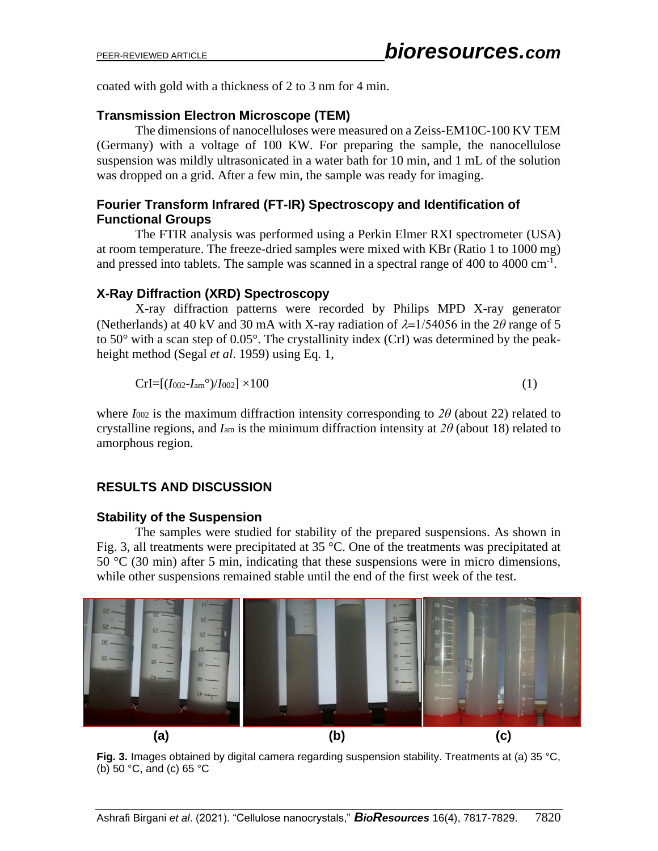coated with gold with a thickness of 2 to 3 nm for 4 min.

### **Transmission Electron Microscope (TEM)**

The dimensions of nanocelluloses were measured on a Zeiss-EM10C-100 KV TEM (Germany) with a voltage of 100 KW. For preparing the sample, the nanocellulose suspension was mildly ultrasonicated in a water bath for 10 min, and 1 mL of the solution was dropped on a grid. After a few min, the sample was ready for imaging.

### **Fourier Transform Infrared (FT-IR) Spectroscopy and Identification of Functional Groups**

The FTIR analysis was performed using a Perkin Elmer RXI spectrometer (USA) at room temperature. The freeze-dried samples were mixed with KBr (Ratio 1 to 1000 mg) and pressed into tablets. The sample was scanned in a spectral range of  $400$  to  $4000 \text{ cm}^{-1}$ .

### **X-Ray Diffraction (XRD) Spectroscopy**

X-ray diffraction patterns were recorded by Philips MPD X-ray generator (Netherlands) at 40 kV and 30 mA with X-ray radiation of  $\lambda = 1/54056$  in the 2 $\theta$  range of 5 to 50° with a scan step of 0.05°. The crystallinity index (CrI) was determined by the peakheight method (Segal *et al*. 1959) using Eq. 1,

$$
Crl = [(I002-Iamo)/I002] \times 100
$$
\n(1)

where  $I_{002}$  is the maximum diffraction intensity corresponding to  $2\theta$  (about 22) related to crystalline regions, and *I*am is the minimum diffraction intensity at *2θ* (about 18) related to amorphous region.

## **RESULTS AND DISCUSSION**

#### **Stability of the Suspension**

The samples were studied for stability of the prepared suspensions. As shown in Fig. 3, all treatments were precipitated at 35 °C. One of the treatments was precipitated at 50  $\degree$ C (30 min) after 5 min, indicating that these suspensions were in micro dimensions, while other suspensions remained stable until the end of the first week of the test.



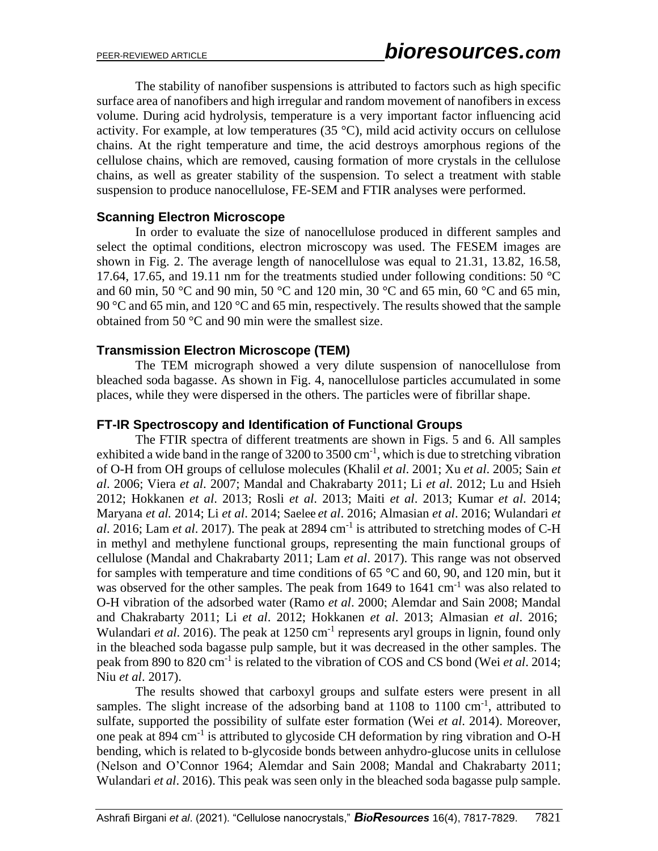The stability of nanofiber suspensions is attributed to factors such as high specific surface area of nanofibers and high irregular and random movement of nanofibers in excess volume. During acid hydrolysis, temperature is a very important factor influencing acid activity. For example, at low temperatures  $(35 \text{ °C})$ , mild acid activity occurs on cellulose chains. At the right temperature and time, the acid destroys amorphous regions of the cellulose chains, which are removed, causing formation of more crystals in the cellulose chains, as well as greater stability of the suspension. To select a treatment with stable suspension to produce nanocellulose, FE-SEM and FTIR analyses were performed.

#### **Scanning Electron Microscope**

In order to evaluate the size of nanocellulose produced in different samples and select the optimal conditions, electron microscopy was used. The FESEM images are shown in Fig. 2. The average length of nanocellulose was equal to 21.31, 13.82, 16.58, 17.64, 17.65, and 19.11 nm for the treatments studied under following conditions: 50 °C and 60 min, 50 °C and 90 min, 50 °C and 120 min, 30 °C and 65 min, 60 °C and 65 min, 90 °C and 65 min, and 120 °C and 65 min, respectively. The results showed that the sample obtained from 50 °C and 90 min were the smallest size.

#### **Transmission Electron Microscope (TEM)**

The TEM micrograph showed a very dilute suspension of nanocellulose from bleached soda bagasse. As shown in Fig. 4, nanocellulose particles accumulated in some places, while they were dispersed in the others. The particles were of fibrillar shape.

#### **FT-IR Spectroscopy and Identification of Functional Groups**

The FTIR spectra of different treatments are shown in Figs. 5 and 6. All samples exhibited a wide band in the range of  $3200$  to  $3500 \text{ cm}^{-1}$ , which is due to stretching vibration of O-H from OH groups of cellulose molecules (Khalil *et al*. 2001; Xu *et al*. 2005; Sain *et al*. 2006; Viera *et al*. 2007; Mandal and Chakrabarty 2011; Li *et al*. 2012; Lu and Hsieh 2012; Hokkanen *et al*. 2013; Rosli *et al*. 2013; Maiti *et al*. 2013; Kumar *et al*. 2014; Maryana *et al.* 2014; Li *et al*. 2014; Saelee *et al*. 2016; Almasian *et al*. 2016; Wulandari *et*  al. 2016; Lam *et al.* 2017). The peak at 2894 cm<sup>-1</sup> is attributed to stretching modes of C-H in methyl and methylene functional groups, representing the main functional groups of cellulose (Mandal and Chakrabarty 2011; Lam *et al*. 2017). This range was not observed for samples with temperature and time conditions of  $65^{\circ}$ C and  $60$ ,  $90$ , and  $120$  min, but it was observed for the other samples. The peak from 1649 to 1641 cm<sup>-1</sup> was also related to O-H vibration of the adsorbed water (Ramo *et al*. 2000; Alemdar and Sain 2008; Mandal and Chakrabarty 2011; Li *et al*. 2012; Hokkanen *et al*. 2013; Almasian *et al*. 2016; Wulandari *et al.* 2016). The peak at 1250 cm<sup>-1</sup> represents aryl groups in lignin, found only in the bleached soda bagasse pulp sample, but it was decreased in the other samples. The peak from 890 to 820 cm-1 is related to the vibration of COS and CS bond (Wei *et al*. 2014; Niu *et al*. 2017).

The results showed that carboxyl groups and sulfate esters were present in all samples. The slight increase of the adsorbing band at  $1108$  to  $1100 \text{ cm}^{-1}$ , attributed to sulfate, supported the possibility of sulfate ester formation (Wei *et al*. 2014). Moreover, one peak at 894 cm<sup>-1</sup> is attributed to glycoside CH deformation by ring vibration and O-H bending, which is related to b-glycoside bonds between anhydro-glucose units in cellulose (Nelson and O'Connor 1964; Alemdar and Sain 2008; Mandal and Chakrabarty 2011; Wulandari *et al*. 2016). This peak was seen only in the bleached soda bagasse pulp sample.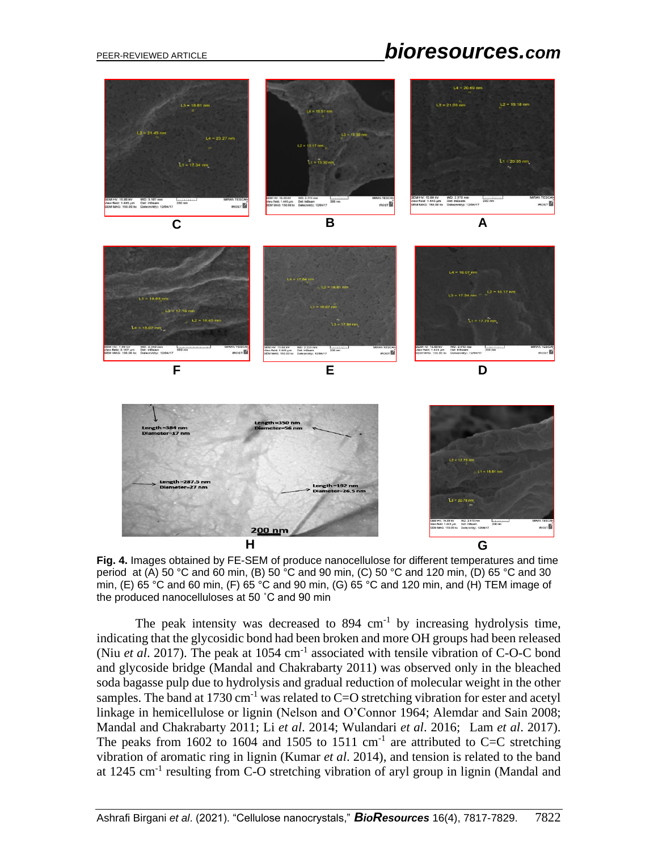# PEER-REVIEWED ARTICLE *bioresources.com*



**Fig. 4.** Images obtained by FE-SEM of produce nanocellulose for different temperatures and time period at (A) 50 °C and 60 min, (B) 50 °C and 90 min, (C) 50 °C and 120 min, (D) 65 °C and 30 min, (E) 65 °C and 60 min, (F) 65 °C and 90 min, (G) 65 °C and 120 min, and (H) TEM image of the produced nanocelluloses at 50 ˚C and 90 min

The peak intensity was decreased to  $894 \text{ cm}^{-1}$  by increasing hydrolysis time, indicating that the glycosidic bond had been broken and more OH groups had been released (Niu *et al.* 2017). The peak at 1054 cm<sup>-1</sup> associated with tensile vibration of C-O-C bond and glycoside bridge (Mandal and Chakrabarty 2011) was observed only in the bleached soda bagasse pulp due to hydrolysis and gradual reduction of molecular weight in the other samples. The band at 1730 cm<sup>-1</sup> was related to  $C=O$  stretching vibration for ester and acetyl linkage in hemicellulose or lignin (Nelson and O'Connor 1964; Alemdar and Sain 2008; Mandal and Chakrabarty 2011; Li *et al*. 2014; Wulandari *et al*. 2016; Lam *et al*. 2017). The peaks from 1602 to 1604 and 1505 to 1511  $\text{cm}^{-1}$  are attributed to C=C stretching vibration of aromatic ring in lignin (Kumar *et al*. 2014), and tension is related to the band at 1245 cm<sup>-1</sup> resulting from C-O stretching vibration of aryl group in lignin (Mandal and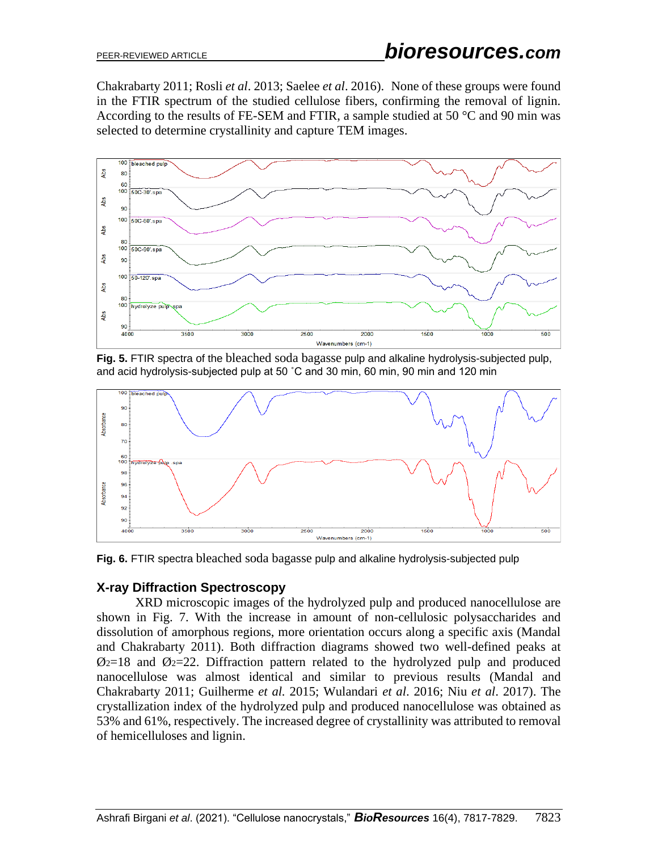Chakrabarty 2011; Rosli *et al*. 2013; Saelee *et al*. 2016). None of these groups were found in the FTIR spectrum of the studied cellulose fibers, confirming the removal of lignin. According to the results of FE-SEM and FTIR, a sample studied at 50 °C and 90 min was selected to determine crystallinity and capture TEM images.



**Fig. 5.** FTIR spectra of the bleached soda bagasse pulp and alkaline hydrolysis-subjected pulp, and acid hydrolysis-subjected pulp at 50 ˚C and 30 min, 60 min, 90 min and 120 min



**Fig. 6.** FTIR spectra bleached soda bagasse pulp and alkaline hydrolysis-subjected pulp

## **X-ray Diffraction Spectroscopy**

XRD microscopic images of the hydrolyzed pulp and produced nanocellulose are shown in Fig. 7. With the increase in amount of non-cellulosic polysaccharides and dissolution of amorphous regions, more orientation occurs along a specific axis (Mandal and Chakrabarty 2011). Both diffraction diagrams showed two well-defined peaks at  $\mathcal{O}_2$ =18 and  $\mathcal{O}_2$ =22. Diffraction pattern related to the hydrolyzed pulp and produced nanocellulose was almost identical and similar to previous results (Mandal and Chakrabarty 2011; Guilherme *et al.* 2015; Wulandari *et al*. 2016; Niu *et al*. 2017). The crystallization index of the hydrolyzed pulp and produced nanocellulose was obtained as 53% and 61%, respectively. The increased degree of crystallinity was attributed to removal of hemicelluloses and lignin.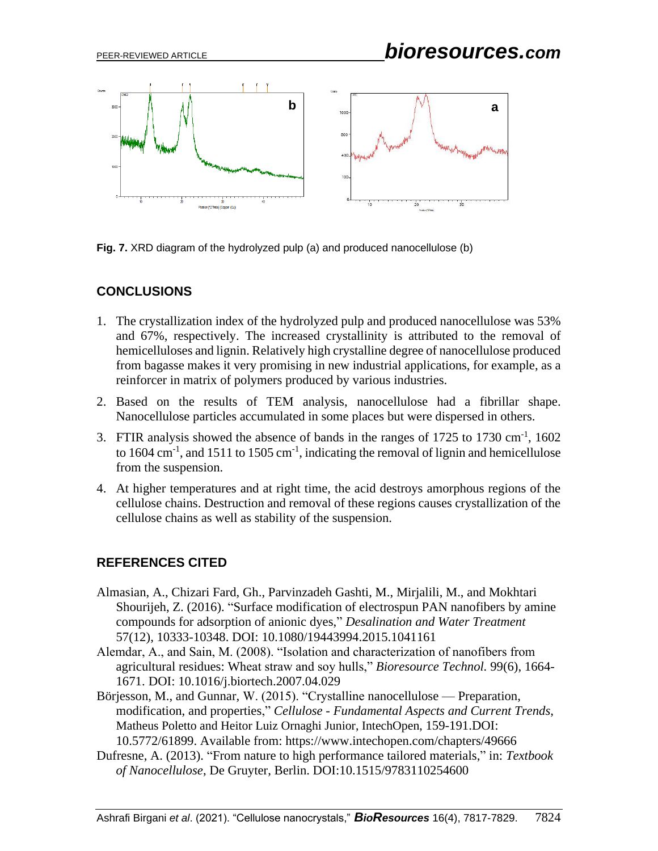

**Fig. 7.** XRD diagram of the hydrolyzed pulp (a) and produced nanocellulose (b)

## **CONCLUSIONS**

- 1. The crystallization index of the hydrolyzed pulp and produced nanocellulose was 53% and 67%, respectively. The increased crystallinity is attributed to the removal of hemicelluloses and lignin. Relatively high crystalline degree of nanocellulose produced from bagasse makes it very promising in new industrial applications, for example, as a reinforcer in matrix of polymers produced by various industries.
- 2. Based on the results of TEM analysis, nanocellulose had a fibrillar shape. Nanocellulose particles accumulated in some places but were dispersed in others.
- 3. FTIR analysis showed the absence of bands in the ranges of  $1725$  to  $1730 \text{ cm}^{-1}$ ,  $1602$ to 1604 cm<sup>-1</sup>, and 1511 to 1505 cm<sup>-1</sup>, indicating the removal of lignin and hemicellulose from the suspension.
- 4. At higher temperatures and at right time, the acid destroys amorphous regions of the cellulose chains. Destruction and removal of these regions causes crystallization of the cellulose chains as well as stability of the suspension.

## **REFERENCES CITED**

- Almasian, A., Chizari Fard, Gh., Parvinzadeh Gashti, M., Mirjalili, M., and Mokhtari Shourijeh, Z. (2016). "Surface modification of electrospun PAN nanofibers by amine compounds for adsorption of anionic dyes," *Desalination and Water Treatment* 57(12), 10333-10348. DOI: [10.1080/19443994.2015.1041161](https://doi.org/10.1080/19443994.2015.1041161)
- Alemdar, A., and Sain, M. (2008). "Isolation and characterization of nanofibers from agricultural residues: Wheat straw and soy hulls," *Bioresource Technol.* 99(6), 1664- 1671. DOI: [10.1016/j.biortech.2007.04.029](https://doi.org/10.1016/j.biortech.2007.04.029)
- Börjesson, M., and Gunnar, W. (2015). "Crystalline nanocellulose Preparation, modification, and properties," *Cellulose - Fundamental Aspects and Current Trends*, Matheus Poletto and Heitor Luiz Ornaghi Junior, IntechOpen, 159-191.DOI: 10.5772/61899. Available from: https://www.intechopen.com/chapters/49666
- Dufresne, A. (2013). "From nature to high performance tailored materials," in: *Textbook of Nanocellulose*, De Gruyter, Berlin. DOI:10.1515/9783110254600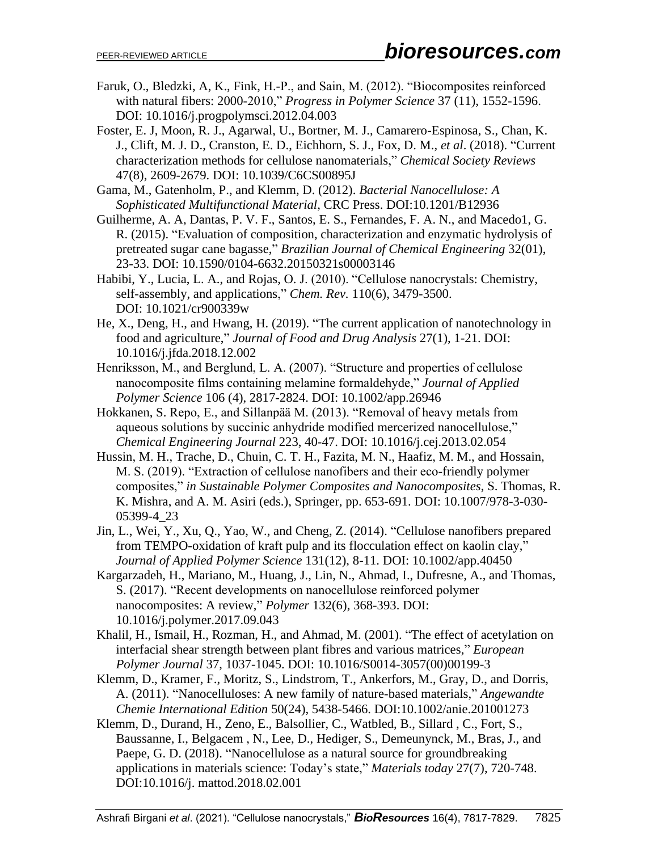- Faruk, O., Bledzki, A, K., Fink, H.-P., and Sain, M. (2012). "Biocomposites reinforced with natural fibers: 2000-2010," *Progress in Polymer Science* 37 (11), 1552-1596. DOI: 10.1016/j.progpolymsci.2012.04.003
- Foster, E. J, Moon, R. J., Agarwal, U., Bortner, M. J., Camarero-Espinosa, S., Chan, K. J., Clift, M. J. D., Cranston, E. D., Eichhorn, S. J., Fox, D. M., *et al*. (2018). "Current characterization methods for cellulose nanomaterials," *Chemical Society Reviews* 47(8), 2609-2679. DOI: 10.1039/C6CS00895J
- Gama, M., Gatenholm, P., and Klemm, D. (2012). *Bacterial Nanocellulose: A* *Sophisticated Multifunctional Material*, CRC Press. DOI[:10.1201/B12936](https://doi.org/10.1201/B12936)
- Guilherme, A. A, Dantas, P. V. F., Santos, E. S., Fernandes, F. A. N., and Macedo1, G. R. (2015). "Evaluation of composition, characterization and enzymatic hydrolysis of pretreated sugar cane bagasse," *Brazilian Journal of Chemical Engineering* 32(01), 23-33. DOI: 10.1590/0104-6632.20150321s00003146
- Habibi, Y., Lucia, L. A., and Rojas, O. J. (2010). "Cellulose nanocrystals: Chemistry, self-assembly, and applications," *Chem. Rev.* 110(6), 3479-3500. DOI: [10.1021/cr900339w](https://doi.org/10.1021/cr900339w)
- He, X., Deng, H., and Hwang, H. (2019). "The current application of nanotechnology in food and agriculture," *Journal of Food and Drug Analysis* 27(1), 1-21. DOI: 10.1016/j.jfda.2018.12.002
- Henriksson, M., and Berglund, L. A. (2007). "Structure and properties of cellulose nanocomposite films containing melamine formaldehyde," *Journal of Applied Polymer Science* 106 (4), 2817-2824. DOI: 10.1002/app.26946
- Hokkanen, S. Repo, E., and Sillanpää M. (2013). "Removal of heavy metals from aqueous solutions by succinic anhydride modified mercerized nanocellulose," *Chemical Engineering Journal* 223, 40-47. DOI: 10.1016/j.cej.2013.02.054
- Hussin, M. H., Trache, D., Chuin, C. T. H., Fazita, M. N., Haafiz, M. M., and Hossain, M. S. (2019). "Extraction of cellulose nanofibers and their eco-friendly polymer composites," *in Sustainable Polymer Composites and Nanocomposites*, S. Thomas, R. K. Mishra, and A. M. Asiri (eds.), Springer, pp. 653-691. DOI: 10.1007/978-3-030- 05399-4\_23
- Jin, L., Wei, Y., Xu, Q., Yao, W., and Cheng, Z. (2014). "Cellulose nanofibers prepared from TEMPO-oxidation of kraft pulp and its flocculation effect on kaolin clay," *Journal of Applied Polymer Science* 131(12), 8-11. DOI: 10.1002/app.40450
- Kargarzadeh, H., Mariano, M., Huang, J., Lin, N., Ahmad, I., Dufresne, A., and Thomas, S. (2017). "Recent developments on nanocellulose reinforced polymer nanocomposites: A review," *Polymer* 132(6), 368-393. DOI: 10.1016/j.polymer.2017.09.043
- Khalil, H., Ismail, H., Rozman, H., and Ahmad, M. (2001). "The effect of acetylation on interfacial shear strength between plant fibres and various matrices," *European Polymer Journal* 37, 1037-1045. DOI: 10.1016/S0014-3057(00)00199-3
- Klemm, D., Kramer, F., Moritz, S., Lindstrom, T., Ankerfors, M., Gray, D., and Dorris, A. (2011). "Nanocelluloses: A new family of nature-based materials," *[Angewandte](https://onlinelibrary.wiley.com/journal/15213773)  [Chemie International Edition](https://onlinelibrary.wiley.com/journal/15213773)* 50(24), 5438-5466. DOI:10.1002/anie.201001273
- Klemm, D., Durand, H., Zeno, E., Balsollier, C., Watbled, B., Sillard , C., Fort, S., Baussanne, I., Belgacem , N., Lee, D., Hediger, S., Demeunynck, M., Bras, J., and Paepe, G. D. (2018). "Nanocellulose as a natural source for groundbreaking applications in materials science: Today's state," *Materials today* 27(7), 720-748. DOI:10.1016/j. mattod.2018.02.001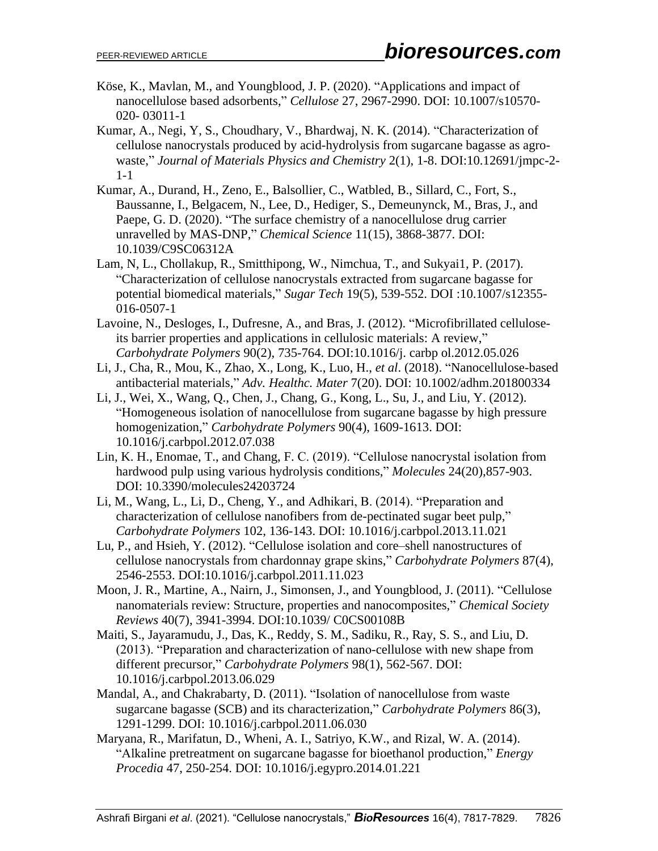- Köse, K., Mavlan, M., and Youngblood, J. P. (2020). "Applications and impact of nanocellulose based adsorbents," *Cellulose* 27, 2967-2990. DOI: 10.1007/s10570- 020- 03011-1
- Kumar, A., Negi, Y, S., Choudhary, V., Bhardwaj, N. K. (2014). "Characterization of cellulose nanocrystals produced by acid-hydrolysis from sugarcane bagasse as agrowaste," *Journal of Materials Physics and Chemistry* 2(1), 1-8. DOI:10.12691/jmpc-2- 1-1
- Kumar, A., Durand, H., Zeno, E., Balsollier, C., Watbled, B., Sillard, C., Fort, S., Baussanne, I., Belgacem, N., Lee, D., Hediger, S., Demeunynck, M., Bras, J., and Paepe, G. D. (2020). "The surface chemistry of a nanocellulose drug carrier unravelled by MAS-DNP," *Chemical Science* 11(15), 3868-3877. DOI: [10.1039/C9SC06312A](https://doi.org/10.1039/C9SC06312A)
- Lam, N, L., Chollakup, R., Smitthipong, W., Nimchua, T., and Sukyai1, P. (2017). "Characterization of cellulose nanocrystals extracted from sugarcane bagasse for potential biomedical materials," *Sugar Tech* 19(5), 539-552. DOI :10.1007/s12355- 016-0507-1
- Lavoine, N., Desloges, I., Dufresne, A., and Bras, J. (2012). "Microfibrillated celluloseits barrier properties and applications in cellulosic materials: A review," *Carbohydrate Polymers* 90(2), 735-764. DOI:10.1016/j. carbp ol.2012.05.026
- Li, J., Cha, R., Mou, K., Zhao, X., Long, K., Luo, H., *et al*. (2018). "Nanocellulose-based antibacterial materials," *Adv. Healthc. Mater* 7(20). DOI: 10.1002/adhm.201800334
- Li, J., Wei, X., Wang, Q., Chen, J., Chang, G., Kong, L., Su, J., and Liu, Y. (2012). "Homogeneous isolation of nanocellulose from sugarcane bagasse by high pressure homogenization," *Carbohydrate Polymers* 90(4), 1609-1613. DOI: 10.1016/j.carbpol.2012.07.038
- Lin, K. H., Enomae, T., and Chang, F. C. (2019). "Cellulose nanocrystal isolation from hardwood pulp using various hydrolysis conditions," *Molecules* 24(20),857-903. DOI: 10.3390/molecules24203724
- Li, M., Wang, L., Li, D., Cheng, Y., and Adhikari, B. (2014). "Preparation and characterization of cellulose nanofibers from de-pectinated sugar beet pulp," *Carbohydrate Polymers* 102, 136-143. DOI: 10.1016/j.carbpol.2013.11.021
- Lu, P., and Hsieh, Y. (2012). "Cellulose isolation and core–shell nanostructures of cellulose nanocrystals from chardonnay grape skins," *Carbohydrate Polymers* 87(4), 2546-2553. DOI[:10.1016/j.carbpol.2011.11.023](https://doi.org/10.1016/j.carbpol.2011.11.023)
- Moon, J. R., Martine, A., Nairn, J., Simonsen, J., and Youngblood, J. (2011). "Cellulose nanomaterials review: Structure, properties and nanocomposites," *Chemical Society Reviews* 40(7), 3941-3994. DOI:10.1039/ [C0CS00108B](https://doi.org/10.1039/C0CS00108B)
- Maiti, S., Jayaramudu, J., Das, K., Reddy, S. M., Sadiku, R., Ray, S. S., and Liu, D. (2013). "Preparation and characterization of nano-cellulose with new shape from different precursor," *Carbohydrate Polymers* 98(1), 562-567. DOI: [10.1016/j.carbpol.2013.06.029](https://doi.org/10.1016/j.carbpol.2013.06.029)
- Mandal, A., and Chakrabarty, D. (2011). "Isolation of nanocellulose from waste sugarcane bagasse (SCB) and its characterization," *Carbohydrate Polymers* 86(3), 1291-1299. DOI: 10.1016/j.carbpol.2011.06.030
- Maryana, R., Marifatun, D., Wheni, A. I., Satriyo, K.W., and Rizal, W. A. (2014). "Alkaline pretreatment on sugarcane bagasse for bioethanol production," *Energy Procedia* 47, 250-254. DOI: [10.1016/j.egypro.2014.01.221](https://doi.org/10.1016/j.egypro.2014.01.221)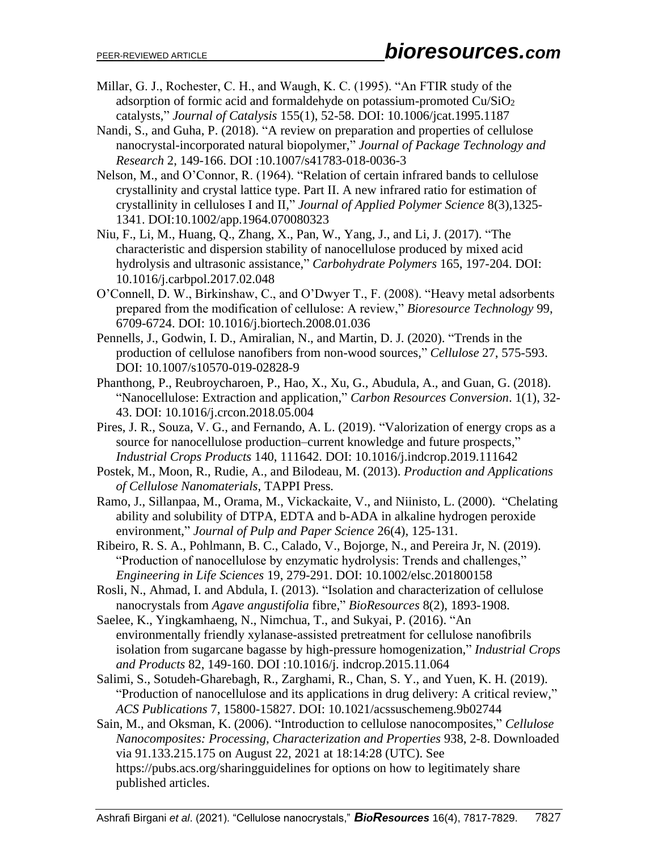- Millar, G. J., Rochester, C. H., and Waugh, K. C. (1995). "An FTIR study of the adsorption of formic acid and formaldehyde on potassium-promoted Cu/SiO<sup>2</sup> catalysts," *Journal of Catalysis* 155(1), 52-58. DOI: 10.1006/jcat.1995.1187
- Nandi, S., and Guha, P. (2018). "A review on preparation and properties of cellulose nanocrystal-incorporated natural biopolymer," *Journal of Package Technology and Research* 2, 149-166. DOI :10.1007/s41783-018-0036-3
- Nelson, M., and O'Connor, R. (1964). "Relation of certain infrared bands to cellulose crystallinity and crystal lattice type. Part II. A new infrared ratio for estimation of crystallinity in celluloses I and II," *[Journal of Applied Polymer Science](https://onlinelibrary.wiley.com/journal/10974628)* 8(3),1325- 1341. DOI[:10.1002/app.1964.070080323](https://doi.org/10.1002/app.1964.070080323)
- Niu, F., Li, M., Huang, Q., Zhang, X., Pan, W., Yang, J., and Li, J. (2017). "The characteristic and dispersion stability of nanocellulose produced by mixed acid hydrolysis and ultrasonic assistance," *Carbohydrate Polymers* 165, 197-204. DOI: 10.1016/j.carbpol.2017.02.048
- O'Connell, D. W., Birkinshaw, C., and O'Dwyer T., F. (2008). "Heavy metal adsorbents prepared from the modification of cellulose: A review," *Bioresource Technology* 99, 6709-6724. DOI: [10.1016/j.biortech.2008.01.036](https://doi.org/10.1016/j.biortech.2008.01.036)
- Pennells, J., Godwin, I. D., Amiralian, N., and Martin, D. J. (2020). "Trends in the production of cellulose nanofibers from non-wood sources," *Cellulose* 27, 575-593. DOI: 10.1007/s10570-019-02828-9
- Phanthong, P., Reubroycharoen, P., Hao, X., Xu, G., Abudula, A., and Guan, G. (2018). "Nanocellulose: Extraction and application," *Carbon Resources Conversion*. 1(1), 32- 43. DOI: 10.1016/j.crcon.2018.05.004
- Pires, J. R., Souza, V. G., and Fernando, A. L. (2019). "Valorization of energy crops as a source for nanocellulose production–current knowledge and future prospects," *Industrial Crops Products* 140, 111642. DOI: 10.1016/j.indcrop.2019.111642
- Postek, M., Moon, R., Rudie, A., and Bilodeau, M. (2013). *Production and Applications of Cellulose Nanomaterials*, TAPPI Press*.*
- Ramo, J., Sillanpaa, M., Orama, M., Vickackaite, V., and Niinisto, L. (2000). "Chelating ability and solubility of DTPA, EDTA and b-ADA in alkaline hydrogen peroxide environment," *[Journal of Pulp and Paper Science](https://www.tib.eu/en/search?tx_tibsearch_search%5Baction%5D=search&tx_tibsearch_search%5Bcontroller%5D=Search&tx_tibsearch_search%5Bquery%5D=title%3A%22Journal%20of%20pulp%20and%20paper%20science%20%3A%20JPPS%22&cHash=b73da8b87583f4b1865a75623f648b28)* 26(4), 125-131.
- Ribeiro, R. S. A., Pohlmann, B. C., Calado, V., Bojorge, N., and Pereira Jr, N. (2019). "Production of nanocellulose by enzymatic hydrolysis: Trends and challenges," *Engineering in Life Sciences* 19, 279-291. DOI: 10.1002/elsc.201800158
- Rosli, N., Ahmad, I. and Abdula, I. (2013). "Isolation and characterization of cellulose nanocrystals from *Agave angustifolia* fibre," *BioResources* 8(2), 1893-1908.
- Saelee, K., Yingkamhaeng, N., Nimchua, T., and Sukyai, P. (2016). "An environmentallyfriendly xylanase-assisted pretreatment for cellulose nanofibrils isolation from sugarcane bagasse by high-pressure homogenization," *Industrial Crops and Products* 82, 149-160. DOI :10.1016/j. indcrop.2015.11.064
- Salimi, S., Sotudeh-Gharebagh, R., Zarghami, R., Chan, S. Y., and Yuen, K. H. (2019). "Production of nanocellulose and its applications in drug delivery: A critical review," *ACS Publications* 7, 15800-15827. DOI: 10.1021/acssuschemeng.9b02744
- Sain, M., and Oksman, K. (2006). "Introduction to cellulose nanocomposites," *Cellulose Nanocomposites: Processing, Characterization and Properties* 938, 2-8. Downloaded via 91.133.215.175 on August 22, 2021 at 18:14:28 (UTC). See https://pubs.acs.org/sharingguidelines for options on how to legitimately share published articles.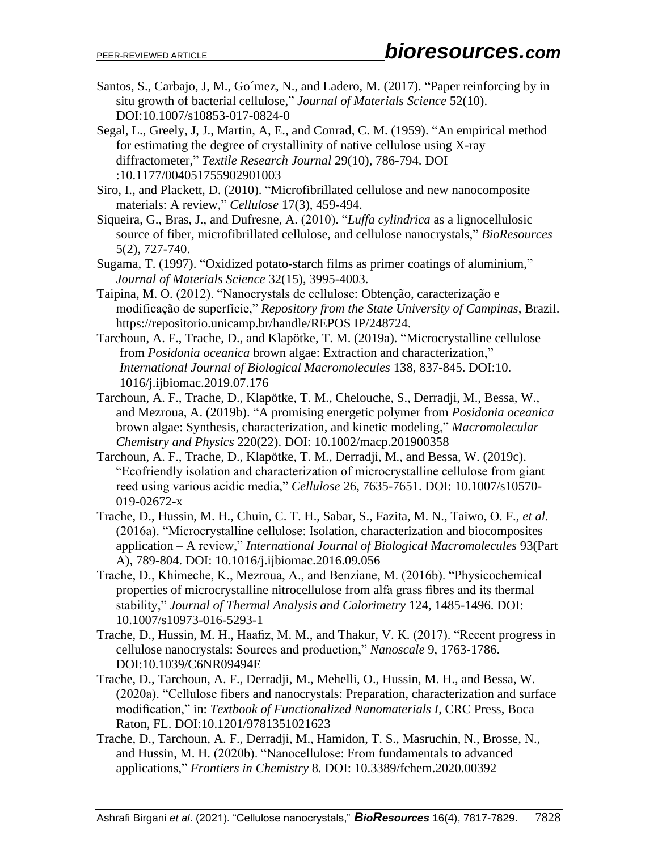- Santos, S., Carbajo, J, M., Go´mez, N., and Ladero, M. (2017). "Paper reinforcing by in situ growth of bacterial cellulose," *Journal of Materials Science* 52(10). DOI:10.1007/s10853-017-0824-0
- Segal, L., Greely, J, J., Martin, A, E., and Conrad, C. M. (1959). "An empirical method for estimating the degree of crystallinity of native cellulose using X-ray diffractometer," *Textile Research Journal* 29(10), 786-794. DOI :10.1177/004051755902901003
- Siro, I., and Plackett, D. (2010). "Microfibrillated cellulose and new nanocomposite materials: A review," *Cellulose* 17(3), 459-494.
- Siqueira, G., Bras, J., and Dufresne, A. (2010). "*Luffa cylindrica* as a lignocellulosic source of fiber, microfibrillated cellulose, and cellulose nanocrystals," *BioResources* 5(2), 727-740.
- Sugama, T. (1997). "Oxidized potato-starch films as primer coatings of aluminium," *Journal of Materials Science* 32(15), 3995-4003.
- Taipina, M. O. (2012). "Nanocrystals de cellulose: Obtenção, caracterização e modificação de superfície," *Repository from the State University of Campinas*, Brazil. https://repositorio.unicamp.br/handle/REPOS IP/248724.
- Tarchoun, A. F., Trache, D., and Klapötke, T. M. (2019a). "Microcrystalline cellulose from *Posidonia oceanica* brown algae: Extraction and characterization," *International Journal of Biological Macromolecules* 138, 837-845. DOI:10. 1016/j.ijbiomac.2019.07.176
- Tarchoun, A. F., Trache, D., Klapötke, T. M., Chelouche, S., Derradji, M., Bessa, W., and Mezroua, A. (2019b). "A promising energetic polymer from *Posidonia oceanica* brown algae: Synthesis, characterization, and kinetic modeling," *Macromolecular Chemistry and Physics* 220(22). DOI: 10.1002/macp.201900358
- Tarchoun, A. F., Trache, D., Klapötke, T. M., Derradji, M., and Bessa, W. (2019c). "Ecofriendly isolation and characterization of microcrystalline cellulose from giant reed using various acidic media," *Cellulose* 26, 7635-7651. DOI: 10.1007/s10570- 019-02672-x
- Trache, D., Hussin, M. H., Chuin, C. T. H., Sabar, S., Fazita, M. N., Taiwo, O. F., *et al.* (2016a). "Microcrystalline cellulose: Isolation, characterization and biocomposites application – A review," *International Journal of Biological Macromolecules* 93(Part A), 789-804. DOI: 10.1016/j.ijbiomac.2016.09.056
- Trache, D., Khimeche, K., Mezroua, A., and Benziane, M. (2016b). "Physicochemical properties of microcrystalline nitrocellulose from alfa grass fibres and its thermal stability," *Journal of Thermal Analysis and Calorimetry* 124, 1485-1496. DOI: 10.1007/s10973-016-5293-1
- Trache, D., Hussin, M. H., Haafiz, M. M., and Thakur, V. K. (2017). "Recent progress in cellulose nanocrystals: Sources and production," *Nanoscale* 9, 1763-1786. DOI:10.1039/C6NR09494E
- Trache, D., Tarchoun, A. F., Derradji, M., Mehelli, O., Hussin, M. H., and Bessa, W. (2020a). "Cellulose fibers and nanocrystals: Preparation, characterization and surface modification," in: *Textbook of Functionalized Nanomaterials I*, CRC Press, Boca Raton, FL. DOI:10.1201/9781351021623
- Trache, D., Tarchoun, A. F., Derradji, M., Hamidon, T. S., Masruchin, N., Brosse, N., and Hussin, M. H. (2020b). "Nanocellulose: From fundamentals to advanced applications," *Frontiers in Chemistry* 8*.* DOI: 10.3389/fchem.2020.00392